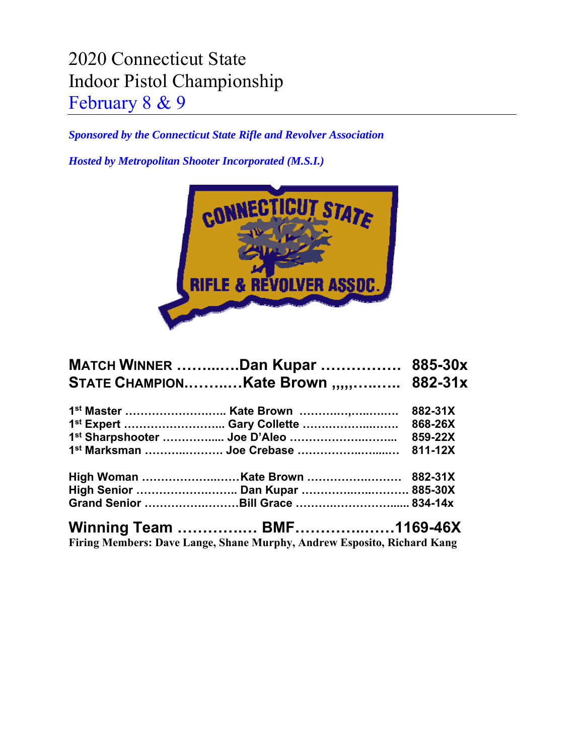## 2020 Connecticut State Indoor Pistol Championship February 8 & 9

*Sponsored by the Connecticut State Rifle and Revolver Association* 

*Hosted by Metropolitan Shooter Incorporated (M.S.I.)* 



| <b>MATCH WINNER Dan Kupar  885-30x</b> |                 |
|----------------------------------------|-----------------|
| STATE CHAMPIONKate Brown ,,,,, 882-31x |                 |
|                                        |                 |
|                                        |                 |
|                                        |                 |
|                                        |                 |
|                                        |                 |
|                                        |                 |
|                                        |                 |
| Winning Toam RNE                       | $1120 \times Y$ |

**Winning Team ………….… BMF…………..……1169-46X Firing Members: Dave Lange, Shane Murphy, Andrew Esposito, Richard Kang**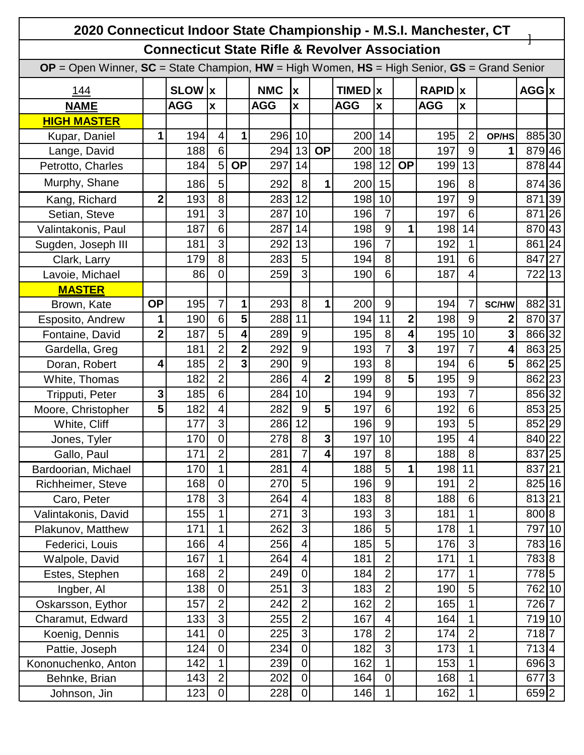| 2020 Connecticut Indoor State Championship - M.S.I. Manchester, CT                                    |                |            |                           |                         |            |                           |                         |                  |                 |                         |            |                           |       |               |                |
|-------------------------------------------------------------------------------------------------------|----------------|------------|---------------------------|-------------------------|------------|---------------------------|-------------------------|------------------|-----------------|-------------------------|------------|---------------------------|-------|---------------|----------------|
| <b>Connecticut State Rifle &amp; Revolver Association</b>                                             |                |            |                           |                         |            |                           |                         |                  |                 |                         |            |                           |       |               |                |
| $OP = Open$ Winner, $SC = State$ Champion, $HW = High$ Women, $HS = High$ Senior, $GS = Grand$ Senior |                |            |                           |                         |            |                           |                         |                  |                 |                         |            |                           |       |               |                |
| <u> 144</u>                                                                                           |                | SLOW  x    |                           |                         | <b>NMC</b> | $\boldsymbol{\mathsf{X}}$ |                         | <b>TIMED</b>   x |                 |                         | RAPID   x  |                           |       | $AGG$ $x$     |                |
| <b>NAME</b>                                                                                           |                | <b>AGG</b> | $\boldsymbol{\mathsf{x}}$ |                         | <b>AGG</b> | $\mathbf{x}$              |                         | <b>AGG</b>       | $\mathbf x$     |                         | <b>AGG</b> | $\boldsymbol{\mathsf{x}}$ |       |               |                |
| <b>HIGH MASTER</b>                                                                                    |                |            |                           |                         |            |                           |                         |                  |                 |                         |            |                           |       |               |                |
| Kupar, Daniel                                                                                         | 1              | 194        | 4                         | 1                       | 296        | 10                        |                         | 200              | 14              |                         | 195        | $\overline{2}$            | OP/HS | 885 30        |                |
| Lange, David                                                                                          |                | 188        | 6                         |                         | 294        | 13                        | <b>OP</b>               | 200              | 18              |                         | 197        | 9                         | 1     | 879 46        |                |
| Petrotto, Charles                                                                                     |                | 184        | 5                         | <b>OP</b>               | 297        | 14                        |                         | 198              | 12              | <b>OP</b>               | 199        | 13                        |       | 878 44        |                |
| Murphy, Shane                                                                                         |                | 186        | 5                         |                         | 292        | 8                         | 1                       | 200              | 15              |                         | 196        | 8                         |       | 874 36        |                |
| Kang, Richard                                                                                         | $\overline{2}$ | 193        | 8                         |                         | 283        | 12                        |                         | 198              | 10              |                         | 197        | 9                         |       | 871           | 39             |
| Setian, Steve                                                                                         |                | 191        | 3                         |                         | 287        | 10                        |                         | 196              | $\overline{7}$  |                         | 197        | 6                         |       | 871           | 26             |
| Valintakonis, Paul                                                                                    |                | 187        | 6                         |                         | 287        | 14                        |                         | 198              | $9\,$           | 1                       | 198        | 14                        |       | 870 43        |                |
| Sugden, Joseph III                                                                                    |                | 181        | 3                         |                         | 292        | 13                        |                         | 196              | $\overline{7}$  |                         | 192        | 1                         |       | 861           | 24             |
| Clark, Larry                                                                                          |                | 179        | 8                         |                         | 283        | 5                         |                         | 194              | 8               |                         | 191        | 6                         |       | 847           | 27             |
| Lavoie, Michael                                                                                       |                | 86         | 0                         |                         | 259        | $\overline{3}$            |                         | 190              | 6               |                         | 187        | 4                         |       | 722 13        |                |
| <b>MASTER</b>                                                                                         |                |            |                           |                         |            |                           |                         |                  |                 |                         |            |                           |       |               |                |
| Brown, Kate                                                                                           | <b>OP</b>      | 195        | $\overline{7}$            | 1                       | 293        | 8                         | 1                       | 200              | 9               |                         | 194        | 7                         | SC/HW | 88231         |                |
| Esposito, Andrew                                                                                      | 1              | 190        | 6                         | 5                       | 288        | 11                        |                         | 194              | 11              | $\mathbf 2$             | 198        | $\overline{9}$            | 2     | 870 37        |                |
| Fontaine, David                                                                                       | $\overline{2}$ | 187        | 5                         | 4                       | 289        | 9                         |                         | 195              | 8               | 4                       | 195        | 10                        | 3     | 866 32        |                |
| Gardella, Greg                                                                                        |                | 181        | $\overline{2}$            | $\overline{2}$          | 292        | 9                         |                         | 193              | $\overline{7}$  | $\overline{\mathbf{3}}$ | 197        | 7                         | 4     | 863 25        |                |
| Doran, Robert                                                                                         | 4              | 185        | $\overline{2}$            | $\overline{\mathbf{3}}$ | 290        | 9                         |                         | 193              | 8               |                         | 194        | 6                         | 5     | 862 25        |                |
| White, Thomas                                                                                         |                | 182        | $\overline{2}$            |                         | 286        | $\overline{4}$            | 2                       | 199              | 8               | 5                       | 195        | 9                         |       | 862 23        |                |
| Tripputi, Peter                                                                                       | 3              | 185        | 6                         |                         | 284        | 10                        |                         | 194              | $\overline{9}$  |                         | 193        | $\overline{7}$            |       | 856 32        |                |
| Moore, Christopher                                                                                    | 5              | 182        | 4                         |                         | 282        | 9                         | 5                       | 197              | $6\phantom{1}6$ |                         | 192        | 6                         |       | 853 25        |                |
| White, Cliff                                                                                          |                | 177        | 3                         |                         | 286        | 12                        |                         | 196              | $9\,$           |                         | 193        | 5                         |       | 852 29        |                |
| Jones, Tyler                                                                                          |                | 170        | $\mathbf 0$               |                         | 278        | 8                         | $\overline{\mathbf{3}}$ | 197              | 10              |                         | 195        | $\overline{4}$            |       | 840 22        |                |
| Gallo, Paul                                                                                           |                | 171        | $\overline{2}$            |                         | 281        | $\overline{7}$            | $\overline{\mathbf{4}}$ | 197              | 8               |                         | 188        | 8                         |       | 837 25        |                |
| Bardoorian, Michael                                                                                   |                | 170        | 1                         |                         | 281        | $\overline{\mathbf{4}}$   |                         | 188              | $\overline{5}$  | 1                       | 198        | 11                        |       | 837 21        |                |
| Richheimer, Steve                                                                                     |                | 168        | $\mathbf 0$               |                         | 270        | 5                         |                         | 196              | $9\,$           |                         | 191        | $\overline{2}$            |       | 825 16        |                |
| Caro, Peter                                                                                           |                | 178        | 3                         |                         | 264        | $\overline{\mathbf{4}}$   |                         | 183              | 8               |                         | 188        | 6                         |       | 813 21        |                |
| Valintakonis, David                                                                                   |                | 155        | 1                         |                         | 271        | $\overline{3}$            |                         | 193              | $\overline{3}$  |                         | 181        | 1                         |       | 800 8         |                |
| Plakunov, Matthew                                                                                     |                | 171        | 1                         |                         | 262        | دن                        |                         | 186              | 5               |                         | 178        | 1                         |       | 797 10        |                |
| Federici, Louis                                                                                       |                | 166        | 4                         |                         | 256        | $\overline{4}$            |                         | 185              | $\overline{5}$  |                         | 176        | 3                         |       | 783 16        |                |
| Walpole, David                                                                                        |                | 167        | $\mathbf{1}$              |                         | 264        | $\overline{4}$            |                         | 181              | $\overline{2}$  |                         | 171        | 1                         |       | 7838          |                |
| Estes, Stephen                                                                                        |                | 168        | $\overline{2}$            |                         | 249        | $\pmb{0}$                 |                         | 184              | $\overline{2}$  |                         | 177        | 1                         |       | 7785          |                |
| Ingber, Al                                                                                            |                | 138        | $\mathbf 0$               |                         | 251        | ω                         |                         | 183              | $\overline{2}$  |                         | 190        | 5                         |       | 762 10        |                |
| Oskarsson, Eythor                                                                                     |                | 157        | $\overline{2}$            |                         | 242        | $\overline{2}$            |                         | 162              | $\overline{2}$  |                         | 165        | 1                         |       | 726           | $\overline{7}$ |
| Charamut, Edward                                                                                      |                | 133        | 3                         |                         | 255        | $\overline{2}$            |                         | 167              | 4               |                         | 164        | 1                         |       | 719 10        |                |
| Koenig, Dennis                                                                                        |                | 141        | $\pmb{0}$                 |                         | 225        | $\overline{3}$            |                         | 178              | $\overline{2}$  |                         | 174        | $\overline{c}$            |       | 7187          |                |
| Pattie, Joseph                                                                                        |                | 124        | $\mathbf 0$               |                         | 234        | $\overline{0}$            |                         | 182              | $\overline{3}$  |                         | 173        | 1                         |       | 713   4       |                |
| Kononuchenko, Anton                                                                                   |                | 142        | 1                         |                         | 239        | $\overline{\mathsf{o}}$   |                         | 162              | $\mathbf 1$     |                         | 153        | 1                         |       | $696\sqrt{3}$ |                |
| Behnke, Brian                                                                                         |                | 143        | $\overline{2}$            |                         | 202        | $\overline{0}$            |                         | 164              | $\overline{0}$  |                         | 168        | 1                         |       | 677           | $\vert$ 3      |
| Johnson, Jin                                                                                          |                | 123        | $\mathsf 0$               |                         | 228        | $\overline{0}$            |                         | 146              | 1               |                         | 162        | 1                         |       | 659 2         |                |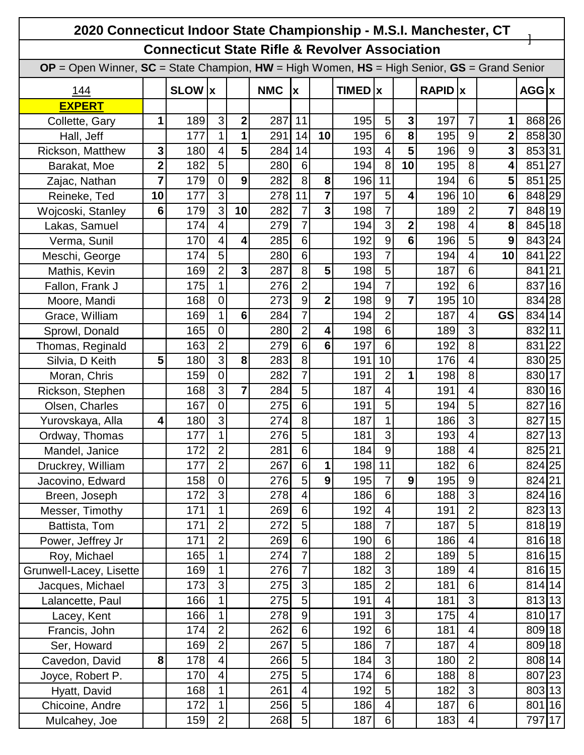| 2020 Connecticut Indoor State Championship - M.S.I. Manchester, CT                                    |                |                                                           |                |                |            |                  |                         |         |                |                 |                |                         |                |           |    |
|-------------------------------------------------------------------------------------------------------|----------------|-----------------------------------------------------------|----------------|----------------|------------|------------------|-------------------------|---------|----------------|-----------------|----------------|-------------------------|----------------|-----------|----|
|                                                                                                       |                | <b>Connecticut State Rifle &amp; Revolver Association</b> |                |                |            |                  |                         |         |                |                 |                |                         |                |           |    |
| $OP = Open$ Winner, $SC = State$ Champion, $HW = High$ Women, $HS = High$ Senior, $GS = Grand$ Senior |                |                                                           |                |                |            |                  |                         |         |                |                 |                |                         |                |           |    |
| <u> 144</u>                                                                                           |                | SLOW  x                                                   |                |                | <b>NMC</b> | X                |                         | TIMED x |                |                 | <b>RAPID</b> x |                         |                | $AGG$ $x$ |    |
| <b>EXPERT</b>                                                                                         |                |                                                           |                |                |            |                  |                         |         |                |                 |                |                         |                |           |    |
| Collette, Gary                                                                                        | 1              | 189                                                       | 3              | $\mathbf{2}$   | 287        | 11               |                         | 195     | 5              | $\mathbf{3}$    | 197            | $\overline{7}$          | 1              | 868 26    |    |
| Hall, Jeff                                                                                            |                | 177                                                       | $\mathbf{1}$   | 1              | 291        | 14               | 10                      | 195     | 6              | 8               | 195            | 9                       | $\mathbf{2}$   | 858 30    |    |
| Rickson, Matthew                                                                                      | 3              | 180                                                       | 4              | 5              | 284        | 14               |                         | 193     | 4              | 5               | 196            | 9                       | 3              | 85331     |    |
| Barakat, Moe                                                                                          | $\overline{2}$ | 182                                                       | 5              |                | 280        | $6 \overline{6}$ |                         | 194     | 8              | 10              | 195            | 8                       | 4              | 851       | 27 |
| Zajac, Nathan                                                                                         | $\overline{7}$ | 179                                                       | $\overline{0}$ | 9              | 282        | 8                | 8                       | 196     | 11             |                 | 194            | $6\phantom{1}$          | 5              | 851       | 25 |
| Reineke, Ted                                                                                          | 10             | 177                                                       | 3              |                | 278        | 11               | $\overline{7}$          | 197     | 5              | 4               | 196            | 10                      | 6              | 848 29    |    |
| Wojcoski, Stanley                                                                                     | 6              | 179                                                       | 3              | 10             | 282        | $\overline{7}$   | $\overline{\mathbf{3}}$ | 198     | $\overline{7}$ |                 | 189            | $\overline{2}$          | $\overline{7}$ | 848 19    |    |
| Lakas, Samuel                                                                                         |                | 174                                                       | 4              |                | 279        | $\overline{7}$   |                         | 194     | 3              | $\mathbf{2}$    | 198            | 4                       | 8              | 845       | 18 |
| Verma, Sunil                                                                                          |                | 170                                                       | 4              | 4              | 285        | 6 <sup>1</sup>   |                         | 192     | 9              | $6\phantom{1}6$ | 196            | 5                       | 9              | 843 24    |    |
| Meschi, George                                                                                        |                | 174                                                       | 5              |                | 280        | $6 \overline{6}$ |                         | 193     | $\overline{7}$ |                 | 194            | 4                       | 10             | 841       | 22 |
| Mathis, Kevin                                                                                         |                | 169                                                       | $\overline{2}$ | 3              | 287        | 8                | 5                       | 198     | 5              |                 | 187            | 6                       |                | 841       | 21 |
| Fallon, Frank J                                                                                       |                | 175                                                       | 1              |                | 276        | $\overline{2}$   |                         | 194     | $\overline{7}$ |                 | 192            | 6                       |                | 837       | 16 |
| Moore, Mandi                                                                                          |                | 168                                                       | $\overline{0}$ |                | 273        | $\overline{9}$   | $\mathbf{2}$            | 198     | 9              | $\overline{7}$  | 195            | 10                      |                | 834       | 28 |
| Grace, William                                                                                        |                | 169                                                       | 1              | 6              | 284        | $\overline{7}$   |                         | 194     | $\overline{2}$ |                 | 187            | 4                       | <b>GS</b>      | 834 14    |    |
| Sprowl, Donald                                                                                        |                | 165                                                       | $\overline{0}$ |                | 280        | $\overline{2}$   | 4                       | 198     | 6              |                 | 189            | 3                       |                | 832 11    |    |
| Thomas, Reginald                                                                                      |                | 163                                                       | $\overline{2}$ |                | 279        | $6 \overline{6}$ | $6\phantom{1}$          | 197     | 6              |                 | 192            | 8                       |                | 831       | 22 |
| Silvia, D Keith                                                                                       | 5              | 180                                                       | 3              | 8              | 283        | 8                |                         | 191     | 10             |                 | 176            | 4                       |                | 830       | 25 |
| Moran, Chris                                                                                          |                | 159                                                       | $\overline{0}$ |                | 282        | $\overline{7}$   |                         | 191     | $\overline{2}$ | 1               | 198            | 8                       |                | 830       | 17 |
| Rickson, Stephen                                                                                      |                | 168                                                       | 3              | $\overline{7}$ | 284        | 5                |                         | 187     | 4              |                 | 191            | 4                       |                | 830       | 16 |
| Olsen, Charles                                                                                        |                | 167                                                       | $\overline{0}$ |                | 275        | 6 <sup>1</sup>   |                         | 191     | 5              |                 | 194            | 5                       |                | 827       | 16 |
| Yurovskaya, Alla                                                                                      | 4              | 180                                                       | 3              |                | 274        | 8                |                         | 187     | $\mathbf 1$    |                 | 186            | 3                       |                | 827       | 15 |
| Ordway, Thomas                                                                                        |                | 177                                                       | 1              |                | 276        | 5                |                         | 181     | 3              |                 | 193            | 4                       |                | 827       | 13 |
| Mandel, Janice                                                                                        |                | 172                                                       | $\mathbf{2}$   |                | 281        | 6                |                         | 184     | $9\,$          |                 | 188            | 4                       |                | 825 21    |    |
| Druckrey, William                                                                                     |                | 177                                                       | $\overline{2}$ |                | 267        | 6 <sup>1</sup>   | 1                       | 198     | 11             |                 | 182            | 6                       |                | 824 25    |    |
| Jacovino, Edward                                                                                      |                | 158                                                       | $\overline{0}$ |                | 276        | $\overline{5}$   | $\boldsymbol{9}$        | 195     | $\overline{7}$ | 9               | 195            | 9                       |                | 824 21    |    |
| Breen, Joseph                                                                                         |                | 172                                                       | 3              |                | 278        | $\overline{4}$   |                         | 186     | 6              |                 | 188            | 3                       |                | 824 16    |    |
| Messer, Timothy                                                                                       |                | 171                                                       |                |                | 269        | $6 \,$           |                         | 192     | 4              |                 | 191            | $\overline{2}$          |                | 823 13    |    |
| Battista, Tom                                                                                         |                | 171                                                       | $\overline{2}$ |                | 272        | 5                |                         | 188     | $\overline{7}$ |                 | 187            | 5                       |                | 818 19    |    |
| Power, Jeffrey Jr                                                                                     |                | 171                                                       | $\overline{2}$ |                | 269        | $6 \,$           |                         | 190     | 6              |                 | 186            | 4                       |                | 816 18    |    |
| Roy, Michael                                                                                          |                | 165                                                       |                |                | 274        | $\overline{7}$   |                         | 188     | $\overline{2}$ |                 | 189            | 5                       |                | 816 15    |    |
| Grunwell-Lacey, Lisette                                                                               |                | 169                                                       | 1              |                | 276        | $\overline{7}$   |                         | 182     | $\overline{3}$ |                 | 189            | 4                       |                | 816 15    |    |
| Jacques, Michael                                                                                      |                | 173                                                       | 3              |                | 275        | 3                |                         | 185     | $\overline{2}$ |                 | 181            | $6\phantom{1}$          |                | 814 14    |    |
| Lalancette, Paul                                                                                      |                | 166                                                       | 1              |                | 275        | $\overline{5}$   |                         | 191     | 4              |                 | 181            | 3                       |                | 813 13    |    |
| Lacey, Kent                                                                                           |                | 166                                                       | 1              |                | 278        | $\overline{9}$   |                         | 191     | $\overline{3}$ |                 | 175            | 4                       |                | 810       | 17 |
| Francis, John                                                                                         |                | 174                                                       | $\overline{2}$ |                | 262        | $6 \,$           |                         | 192     | 6              |                 | 181            | 4                       |                | 809 18    |    |
| Ser, Howard                                                                                           |                | 169                                                       | $\overline{2}$ |                | 267        | $\overline{5}$   |                         | 186     | $\overline{7}$ |                 | 187            | 4                       |                | 809 18    |    |
| Cavedon, David                                                                                        | 8              | 178                                                       | 4              |                | 266        | 5                |                         | 184     | $\overline{3}$ |                 | 180            | $\overline{2}$          |                | 808 14    |    |
| Joyce, Robert P.                                                                                      |                | 170                                                       | 4              |                | 275        | $\overline{5}$   |                         | 174     | 6              |                 | 188            | 8                       |                | 807 23    |    |
| Hyatt, David                                                                                          |                | 168                                                       | 1              |                | 261        | $\overline{4}$   |                         | 192     | 5              |                 | 182            | 3                       |                | 803 13    |    |
| Chicoine, Andre                                                                                       |                | 172                                                       | 1              |                | 256        | 5 <sup>1</sup>   |                         | 186     | 4              |                 | 187            | $\,6$                   |                | 801 16    |    |
| Mulcahey, Joe                                                                                         |                | 159                                                       | $\overline{2}$ |                | 268        | $\overline{5}$   |                         | 187     | 6              |                 | 183            | $\overline{\mathbf{4}}$ |                | 797 17    |    |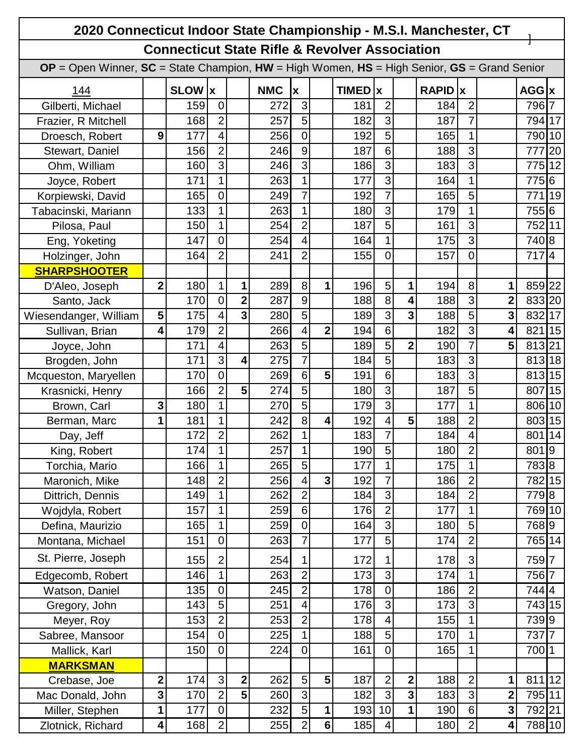| 2020 Connecticut Indoor State Championship - M.S.I. Manchester, CT                                    |              |                 |                  |                         |            |                           |                |                  |                         |                         |                |                |                |           |                |
|-------------------------------------------------------------------------------------------------------|--------------|-----------------|------------------|-------------------------|------------|---------------------------|----------------|------------------|-------------------------|-------------------------|----------------|----------------|----------------|-----------|----------------|
| <b>Connecticut State Rifle &amp; Revolver Association</b>                                             |              |                 |                  |                         |            |                           |                |                  |                         |                         |                |                |                |           |                |
| $OP = Open$ Winner, $SC = State$ Champion, $HW = High$ Women, $HS = High$ Senior, $GS = Grand$ Senior |              |                 |                  |                         |            |                           |                |                  |                         |                         |                |                |                |           |                |
| 144                                                                                                   |              | <b>SLOW</b>   x |                  |                         | <b>NMC</b> | $\boldsymbol{\mathsf{x}}$ |                | <b>TIMED</b>   x |                         |                         | <b>RAPID</b> x |                |                | $AGG$ $x$ |                |
| Gilberti, Michael                                                                                     |              | 159             | $\overline{0}$   |                         | 272        | 3                         |                | 181              | $\overline{2}$          |                         | 184            | 2              |                | 796       | $\overline{7}$ |
| Frazier, R Mitchell                                                                                   |              | 168             | $\overline{2}$   |                         | 257        | $\overline{5}$            |                | 182              | 3                       |                         | 187            | $\overline{7}$ |                | 794 17    |                |
| Droesch, Robert                                                                                       | 9            | 177             | 4                |                         | 256        | $\overline{0}$            |                | 192              | 5                       |                         | 165            | 1              |                | 790 10    |                |
| Stewart, Daniel                                                                                       |              | 156             | $\overline{2}$   |                         | 246        | 9                         |                | 187              | 6                       |                         | 188            | 3              |                | 777       | 20             |
| Ohm, William                                                                                          |              | 160             | 3                |                         | 246        | $\overline{3}$            |                | 186              | 3                       |                         | 183            | 3              |                | 775       | 12             |
| Joyce, Robert                                                                                         |              | 171             | 1                |                         | 263        | $\mathbf{1}$              |                | 177              | 3                       |                         | 164            | 1              |                | 775 6     |                |
| Korpiewski, David                                                                                     |              | 165             | $\mathbf 0$      |                         | 249        | $\overline{7}$            |                | 192              | $\overline{7}$          |                         | 165            | 5              |                | 771       | 19             |
| Tabacinski, Mariann                                                                                   |              | 133             | 1                |                         | 263        | $\mathbf 1$               |                | 180              | 3                       |                         | 179            | 1              |                | 755 6     |                |
| Pilosa, Paul                                                                                          |              | 150             | 1                |                         | 254        | $\overline{2}$            |                | 187              | 5                       |                         | 161            | 3              |                | 752 11    |                |
| Eng, Yoketing                                                                                         |              | 147             | $\overline{0}$   |                         | 254        | $\overline{4}$            |                | 164              | $\overline{1}$          |                         | 175            | 3              |                | 740 8     |                |
| Holzinger, John                                                                                       |              | 164             | $\overline{2}$   |                         | 241        | $\overline{2}$            |                | 155              | $\overline{0}$          |                         | 157            | $\mathbf 0$    |                | 7174      |                |
| <b>SHARPSHOOTER</b>                                                                                   |              |                 |                  |                         |            |                           |                |                  |                         |                         |                |                |                |           |                |
| D'Aleo, Joseph                                                                                        | $\mathbf{2}$ | 180             | $\mathbf{1}$     | 1                       | 289        | 8                         | 1              | 196              | 5                       | 1                       | 194            | 8              | 1              | 859 22    |                |
| Santo, Jack                                                                                           |              | 170             | $\mathbf 0$      | $\mathbf 2$             | 287        | 9                         |                | 188              | 8                       | $\overline{\mathbf{4}}$ | 188            | 3              | $\overline{2}$ | 833 20    |                |
| Wiesendanger, William                                                                                 | 5            | 175             | 4                | 3                       | 280        | 5                         |                | 189              | 3                       | $\overline{\mathbf{3}}$ | 188            | 5              | 3              | 832 17    |                |
| Sullivan, Brian                                                                                       | 4            | 179             | $\overline{2}$   |                         | 266        | $\overline{4}$            | $\overline{2}$ | 194              | $6\phantom{1}6$         |                         | 182            | 3              | 4              | 821 15    |                |
| Joyce, John                                                                                           |              | 171             | 4                |                         | 263        | 5                         |                | 189              | 5                       | $\overline{2}$          | 190            | 7              | 5              | 813 21    |                |
| Brogden, John                                                                                         |              | 171             | 3                | $\overline{\mathbf{4}}$ | 275        | $\overline{7}$            |                | 184              | 5                       |                         | 183            | 3              |                | 813 18    |                |
| Mcqueston, Maryellen                                                                                  |              | 170             | $\mathsf 0$      |                         | 269        | $6 \overline{6}$          | 5              | 191              | 6                       |                         | 183            | 3              |                | 813 15    |                |
| Krasnicki, Henry                                                                                      |              | 166             | $\overline{2}$   | 5                       | 274        | 5                         |                | 180              | 3                       |                         | 187            | 5              |                | 807       | 15             |
| Brown, Carl                                                                                           | 3            | 180             | 1                |                         | 270        | $\overline{5}$            |                | 179              | $\overline{3}$          |                         | 177            | 1              |                | 806       | 10             |
| Berman, Marc                                                                                          | 1            | 181             | $\mathbf{1}$     |                         | 242        | 8                         | 4              | 192              | 4                       | 5                       | 188            | $\overline{2}$ |                | 803 15    |                |
| Day, Jeff                                                                                             |              | 172             | $\overline{2}$   |                         | 262        | 1                         |                | 183              | $\overline{7}$          |                         | 184            | 4              |                | 801 14    |                |
| King, Robert                                                                                          |              | 174             | 1                |                         | 257        | $\mathbf{1}$              |                | 190              | 5                       |                         | 180            | $\overline{c}$ |                | 8019      |                |
| Torchia, Mario                                                                                        |              | 166             | 1                |                         | 265        | 5                         |                | 177              | 1                       |                         | 175            |                |                | 7838      |                |
| Maronich, Mike                                                                                        |              | 148             | $\overline{2}$   |                         | 256        | $\overline{4}$            | $\mathbf{3}$   | 192              | $\overline{7}$          |                         | 186            | $\overline{2}$ |                | 782 15    |                |
| Dittrich, Dennis                                                                                      |              | 149             | $\mathbf{1}$     |                         | 262        | $\overline{2}$            |                | 184              | 3                       |                         | 184            | $\overline{2}$ |                | 7798      |                |
| Wojdyla, Robert                                                                                       |              | 157             | 1                |                         | 259        | $6 \,$                    |                | 176              | $\overline{2}$          |                         | 177            | 1              |                | 769 10    |                |
| Defina, Maurizio                                                                                      |              | 165             | $\mathbf{1}$     |                         | 259        | $\mathbf 0$               |                | 164              | $\overline{3}$          |                         | 180            | 5              |                | 7689      |                |
| Montana, Michael                                                                                      |              | 151             | $\mathsf 0$      |                         | 263        | $\overline{7}$            |                | 177              | 5                       |                         | 174            | $\overline{2}$ |                | 765 14    |                |
| St. Pierre, Joseph                                                                                    |              | 155             | $\overline{2}$   |                         | 254        | 1                         |                | 172              | 1                       |                         | 178            | 3              |                | 7597      |                |
| Edgecomb, Robert                                                                                      |              | 146             | 1                |                         | 263        | $\overline{2}$            |                | 173              | 3                       |                         | 174            | 1              |                | 756 7     |                |
| Watson, Daniel                                                                                        |              | 135             | $\boldsymbol{0}$ |                         | 245        | $\overline{2}$            |                | 178              | $\mathbf 0$             |                         | 186            | $\overline{2}$ |                | 7444      |                |
| Gregory, John                                                                                         |              | 143             | 5                |                         | 251        | $\overline{\mathbf{4}}$   |                | 176              | $\overline{3}$          |                         | 173            | $\overline{3}$ |                | 743 15    |                |
| Meyer, Roy                                                                                            |              | 153             | $\overline{2}$   |                         | 253        | $\overline{2}$            |                | 178              | 4                       |                         | 155            | 1              |                | 7399      |                |
| Sabree, Mansoor                                                                                       |              | 154             | $\overline{0}$   |                         | 225        | $\mathbf{1}$              |                | 188              | $\overline{5}$          |                         | 170            | 1              |                | 737 7     |                |
| Mallick, Karl                                                                                         |              | 150             | $\mathsf 0$      |                         | 224        | $\overline{0}$            |                | 161              | $\mathbf 0$             |                         | 165            | 1              |                | 700 1     |                |
| <b>MARKSMAN</b>                                                                                       |              |                 |                  |                         |            |                           |                |                  |                         |                         |                |                |                |           |                |
| Crebase, Joe                                                                                          | $\mathbf 2$  | 174             | 3                | $\mathbf{2}$            | 262        | 5                         | 5              | 187              | $\overline{2}$          | $\mathbf 2$             | 188            | $\overline{2}$ | 1              | 811 12    |                |
| Mac Donald, John                                                                                      | 3            | 170             | $\overline{2}$   | 5                       | 260        | $\overline{3}$            |                | 182              | 3                       | $\mathbf{3}$            | 183            | 3              | $\mathbf 2$    | 795 11    |                |
| Miller, Stephen                                                                                       | 1            | 177             | $\boldsymbol{0}$ |                         | 232        | 5                         | $\mathbf 1$    | 193              | 10                      | 1                       | 190            | 6              | $\mathbf 3$    | 792 21    |                |
| Zlotnick, Richard                                                                                     | 4            | 168             | $\overline{2}$   |                         | 255        | $2\vert$                  | $\bf 6$        | 185              | $\overline{\mathbf{4}}$ |                         | 180            | $\overline{2}$ | 4              | 788 10    |                |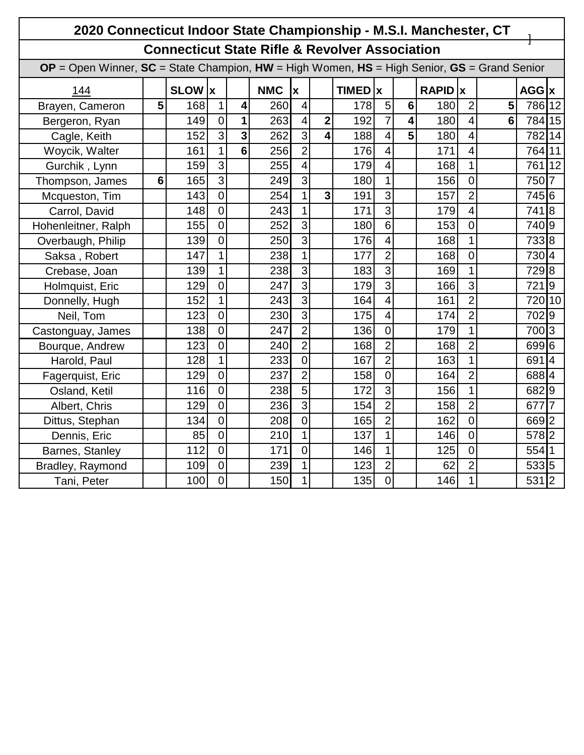|                                                                                                       | 2020 Connecticut Indoor State Championship - M.S.I. Manchester, CT |         |                |                         |            |                         |                         |             |                         |                         |         |                |                |           |                |
|-------------------------------------------------------------------------------------------------------|--------------------------------------------------------------------|---------|----------------|-------------------------|------------|-------------------------|-------------------------|-------------|-------------------------|-------------------------|---------|----------------|----------------|-----------|----------------|
| <b>Connecticut State Rifle &amp; Revolver Association</b>                                             |                                                                    |         |                |                         |            |                         |                         |             |                         |                         |         |                |                |           |                |
| $OP = Open$ Winner, $SC = State$ Champion, $HW = High$ Women, $HS = High$ Senior, $GS = Grand$ Senior |                                                                    |         |                |                         |            |                         |                         |             |                         |                         |         |                |                |           |                |
| <u>144</u>                                                                                            |                                                                    | SLOW  x |                |                         | <b>NMC</b> | Ιx                      |                         | $TIMED$ $x$ |                         |                         | RAPID x |                |                | $AGG$ $x$ |                |
| Brayen, Cameron                                                                                       | 5                                                                  | 168     | 1              | 4                       | 260        | $\overline{\mathbf{4}}$ |                         | 178         | 5                       | $6\phantom{1}6$         | 180     | $\overline{2}$ | 5              | 786 12    |                |
| Bergeron, Ryan                                                                                        |                                                                    | 149     | $\mathbf 0$    | 1                       | 263        | $\overline{4}$          | $\overline{\mathbf{2}}$ | 192         | $\overline{7}$          | $\overline{\mathbf{4}}$ | 180     | $\overline{4}$ | $6\phantom{1}$ | 784 15    |                |
| Cagle, Keith                                                                                          |                                                                    | 152     | $\overline{3}$ | $\overline{\mathbf{3}}$ | 262        | $\overline{3}$          | $\overline{\mathbf{4}}$ | 188         | $\overline{\mathbf{4}}$ | 5                       | 180     | $\overline{4}$ |                | 782 14    |                |
| Woycik, Walter                                                                                        |                                                                    | 161     | 1              | $6\phantom{a}$          | 256        | $\overline{2}$          |                         | 176         | 4                       |                         | 171     | $\overline{4}$ |                | 764 11    |                |
| Gurchik, Lynn                                                                                         |                                                                    | 159     | 3              |                         | 255        | $\overline{\mathbf{4}}$ |                         | 179         | $\overline{4}$          |                         | 168     | $\mathbf{1}$   |                | 761 12    |                |
| Thompson, James                                                                                       | 6                                                                  | 165     | 3              |                         | 249        | $\overline{3}$          |                         | 180         | $\mathbf 1$             |                         | 156     | $\overline{0}$ |                | 750 7     |                |
| Mcqueston, Tim                                                                                        |                                                                    | 143     | $\overline{0}$ |                         | 254        | $\mathbf{1}$            | $\overline{\mathbf{3}}$ | 191         | 3                       |                         | 157     | $\overline{2}$ |                | 745 6     |                |
| Carrol, David                                                                                         |                                                                    | 148     | $\overline{0}$ |                         | 243        | $\mathbf{1}$            |                         | 171         | $\overline{3}$          |                         | 179     | $\overline{4}$ |                | 7418      |                |
| Hohenleitner, Ralph                                                                                   |                                                                    | 155     | $\overline{0}$ |                         | 252        | $\overline{3}$          |                         | 180         | 6                       |                         | 153     | $\overline{0}$ |                | 740 9     |                |
| Overbaugh, Philip                                                                                     |                                                                    | 139     | $\overline{0}$ |                         | 250        | $\overline{3}$          |                         | 176         | $\overline{4}$          |                         | 168     | $\mathbf 1$    |                | 7338      |                |
| Saksa, Robert                                                                                         |                                                                    | 147     | 1              |                         | 238        | $\mathbf{1}$            |                         | 177         | $\overline{2}$          |                         | 168     | $\overline{0}$ |                | 730 4     |                |
| Crebase, Joan                                                                                         |                                                                    | 139     | 1              |                         | 238        | $\overline{3}$          |                         | 183         | 3                       |                         | 169     | $\mathbf 1$    |                | 7298      |                |
| Holmquist, Eric                                                                                       |                                                                    | 129     | $\overline{0}$ |                         | 247        | $\overline{3}$          |                         | 179         | $\overline{3}$          |                         | 166     | $\overline{3}$ |                | 7219      |                |
| Donnelly, Hugh                                                                                        |                                                                    | 152     | $\mathbf{1}$   |                         | 243        | $\overline{3}$          |                         | 164         | $\overline{4}$          |                         | 161     | $\overline{2}$ |                | 720 10    |                |
| Neil, Tom                                                                                             |                                                                    | 123     | $\overline{0}$ |                         | 230        | $\overline{3}$          |                         | 175         | 4                       |                         | 174     | $\overline{2}$ |                | 7029      |                |
| Castonguay, James                                                                                     |                                                                    | 138     | $\overline{0}$ |                         | 247        | $\overline{2}$          |                         | 136         | $\overline{0}$          |                         | 179     | $\overline{1}$ |                | 700 3     |                |
| Bourque, Andrew                                                                                       |                                                                    | 123     | $\overline{0}$ |                         | 240        | $\overline{2}$          |                         | 168         | $\overline{2}$          |                         | 168     | $\overline{2}$ |                | 699 6     |                |
| Harold, Paul                                                                                          |                                                                    | 128     | 1              |                         | 233        | $\overline{0}$          |                         | 167         | $\overline{2}$          |                         | 163     | $\mathbf{1}$   |                | 6914      |                |
| Fagerquist, Eric                                                                                      |                                                                    | 129     | $\overline{0}$ |                         | 237        | $\overline{2}$          |                         | 158         | $\overline{0}$          |                         | 164     | $\overline{2}$ |                | 6884      |                |
| Osland, Ketil                                                                                         |                                                                    | 116     | $\overline{0}$ |                         | 238        | $\overline{5}$          |                         | 172         | $\overline{3}$          |                         | 156     | $\overline{1}$ |                | 6829      |                |
| Albert, Chris                                                                                         |                                                                    | 129     | $\overline{0}$ |                         | 236        | $\overline{3}$          |                         | 154         | $\overline{2}$          |                         | 158     | $\overline{2}$ |                | 677       | $\overline{7}$ |
| Dittus, Stephan                                                                                       |                                                                    | 134     | $\overline{0}$ |                         | 208        | $\overline{0}$          |                         | 165         | $\overline{2}$          |                         | 162     | $\overline{0}$ |                | 669 2     |                |
| Dennis, Eric                                                                                          |                                                                    | 85      | $\overline{0}$ |                         | 210        | 1                       |                         | 137         | 1                       |                         | 146     | $\overline{0}$ |                | 578 2     |                |
| Barnes, Stanley                                                                                       |                                                                    | 112     | $\overline{0}$ |                         | 171        | $\overline{0}$          |                         | 146         | $\mathbf{1}$            |                         | 125     | $\overline{0}$ |                | 554 1     |                |
| Bradley, Raymond                                                                                      |                                                                    | 109     | $\mathbf 0$    |                         | 239        | 1                       |                         | 123         | $\overline{2}$          |                         | 62      | $\overline{2}$ |                | 533 5     |                |
| Tani, Peter                                                                                           |                                                                    | 100     | $\overline{0}$ |                         | 150        | $\mathbf{1}$            |                         | 135         | $\mathbf 0$             |                         | 146     | $\overline{1}$ |                | 531 2     |                |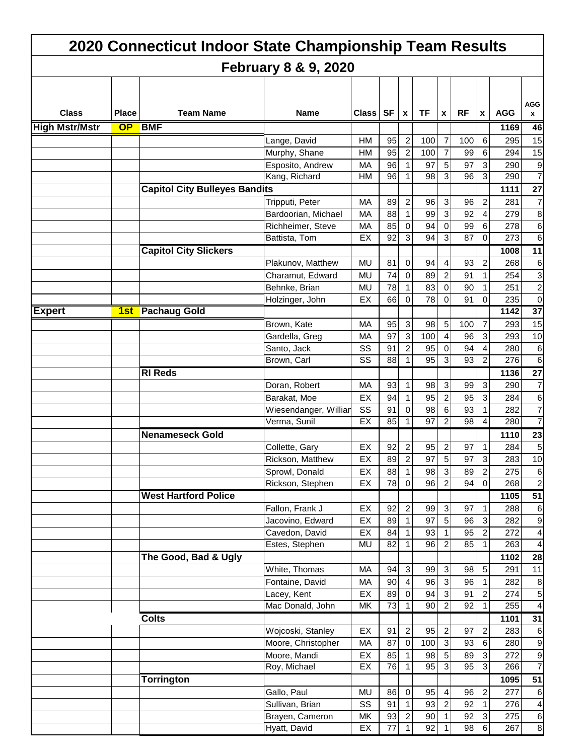|                       |              | 2020 Connecticut Indoor State Championship Team Results |                                  |                 |                       |                |                 |                                |                 |                              |             |                         |
|-----------------------|--------------|---------------------------------------------------------|----------------------------------|-----------------|-----------------------|----------------|-----------------|--------------------------------|-----------------|------------------------------|-------------|-------------------------|
|                       |              |                                                         | <b>February 8 &amp; 9, 2020</b>  |                 |                       |                |                 |                                |                 |                              |             |                         |
|                       |              |                                                         |                                  |                 |                       |                |                 |                                |                 |                              |             |                         |
|                       |              |                                                         |                                  |                 |                       |                |                 |                                |                 |                              |             | AGG                     |
| <b>Class</b>          | <b>Place</b> | <b>Team Name</b>                                        | <b>Name</b>                      | <b>Class</b>    | <b>SF</b>             | $\mathbf{x}$   | <b>TF</b>       | X                              | <b>RF</b>       | $\mathbf{x}$                 | <b>AGG</b>  | x                       |
| <b>High Mstr/Mstr</b> |              | OP BMF                                                  |                                  |                 |                       |                |                 |                                |                 |                              | 1169        | 46                      |
|                       |              |                                                         | Lange, David                     | HM              | 95                    | $\overline{2}$ | 100             | $\overline{7}$                 | 100             | 6                            | 295         | 15                      |
|                       |              |                                                         | Murphy, Shane                    | HM              | 95                    | $\overline{c}$ | 100             | $\overline{7}$                 | 99              | 6                            | 294         | 15                      |
|                       |              |                                                         | Esposito, Andrew                 | <b>MA</b>       | 96                    | $\mathbf{1}$   | 97              | 5                              | 97              | 3                            | 290         | 9                       |
|                       |              |                                                         | Kang, Richard                    | НM              | 96                    | 1              | 98              | 3                              | 96              | 3                            | 290         | $\overline{7}$          |
|                       |              | <b>Capitol City Bulleyes Bandits</b>                    |                                  |                 |                       |                |                 |                                |                 |                              | 1111        | $\overline{27}$         |
|                       |              |                                                         | Tripputi, Peter                  | MA              | 89                    | $\overline{2}$ | 96              | $\mathbf{3}$                   | 96              | $\overline{\mathbf{c}}$      | 281         | $\overline{7}$          |
|                       |              |                                                         | Bardoorian, Michael              | МA              | 88                    | $\mathbf{1}$   | 99              | 3                              | 92              | 4                            | 279         | 8                       |
|                       |              |                                                         | Richheimer, Steve                | MA              | 85                    | $\mathbf{0}$   | 94              | $\mathbf 0$                    | 99              | 6                            | 278         | 6                       |
|                       |              |                                                         | Battista, Tom                    | EX              | 92                    | 3              | 94              | 3                              | 87              | 0                            | 273         | 6                       |
|                       |              | <b>Capitol City Slickers</b>                            |                                  |                 |                       |                |                 |                                |                 |                              | 1008        | 11                      |
|                       |              |                                                         | Plakunov, Matthew                | <b>MU</b>       | 81                    | $\mathbf 0$    | 94              | 4                              | 93              | 2                            | 268         | 6                       |
|                       |              |                                                         | Charamut, Edward                 | <b>MU</b>       | 74                    | $\mathbf 0$    | 89              | $\overline{2}$                 | 91              |                              | 254         | 3                       |
|                       |              |                                                         | Behnke, Brian                    | MU              | 78                    | 1              | 83              | $\mathbf 0$                    | 90              | 1                            | 251         | $\overline{\mathbf{c}}$ |
|                       |              |                                                         | Holzinger, John                  | EX              | 66                    | $\overline{0}$ | 78              | $\Omega$                       | 91              | 0                            | 235         | 0                       |
| <b>Expert</b>         | 1st          | <b>Pachaug Gold</b>                                     |                                  |                 |                       |                |                 |                                |                 |                              | 1142        | $\overline{37}$         |
|                       |              |                                                         | Brown, Kate                      | MA              | 95                    | $\mathbf{3}$   | 98              | $\sqrt{5}$                     | 100             | 7                            | 293         | 15                      |
|                       |              |                                                         | Gardella, Greg                   | МA              | 97                    | $\mathbf{3}$   | 100             | $\overline{4}$                 | 96              | 3                            | 293         | 10                      |
|                       |              |                                                         | Santo, Jack                      | SS              | 91                    | 2              | 95              | $\mathbf 0$                    | 94              | 4                            | 280         | 6                       |
|                       |              |                                                         | Brown, Carl                      | SS              | 88                    | 1              | 95              | 3                              | 93              | $\overline{2}$               | 276         | 6                       |
|                       |              | <b>RI Reds</b>                                          |                                  |                 |                       |                |                 |                                |                 |                              | 1136        | 27                      |
|                       |              |                                                         | Doran, Robert                    | <b>MA</b>       | 93                    | $\mathbf{1}$   | 98              | 3                              | 99              | 3                            | 290         | $\overline{7}$          |
|                       |              |                                                         | Barakat, Moe                     | EX              | 94                    | $\mathbf{1}$   | 95              | $\overline{c}$                 | 95              | 3                            | 284         | 6                       |
|                       |              |                                                         | Wiesendanger, Williar            | SS              | 91                    | $\mathbf{0}$   | 98              | 6                              | 93              | 1                            | 282         | $\overline{7}$          |
|                       |              |                                                         | Verma, Sunil                     | EX              | 85                    | 1              | 97              | $\overline{2}$                 | $\overline{98}$ | 4                            | 280         | $\overline{7}$          |
|                       |              | <b>Nenameseck Gold</b>                                  |                                  |                 |                       |                |                 |                                |                 |                              | 1110        | 23                      |
|                       |              |                                                         | Collette, Gary                   | EX              | 92                    | 2              | 95              | $\overline{2}$                 | 97              |                              | 284         | 5                       |
|                       |              |                                                         | Rickson, Matthew                 | EX              | 89                    | $\overline{2}$ | 97              | $\overline{5}$                 | 97              | $\mathbf{3}$                 | 283         | 10                      |
|                       |              |                                                         | Sprowl, Donald                   | EX              | 88                    | 1              | 98              | $\sqrt{3}$                     | 89              | $\overline{\mathbf{c}}$      | 275         | 6                       |
|                       |              |                                                         | Rickson, Stephen                 | EX              | $\overline{78}$       | $\overline{0}$ | $\overline{96}$ | $\overline{2}$                 | 94              | 0                            | 268         | $\boldsymbol{2}$        |
|                       |              | <b>West Hartford Police</b>                             |                                  |                 |                       |                |                 |                                |                 |                              | 1105        | $\overline{51}$         |
|                       |              |                                                         | Fallon, Frank J                  | EX              | 92                    | $\overline{c}$ | 99              | $\sqrt{3}$                     | 97              | 1                            | 288         | $\,6$                   |
|                       |              |                                                         | Jacovino, Edward                 | EX              | 89                    | $\mathbf{1}$   | 97              | $\overline{5}$                 | 96              | 3                            | 282         | 9                       |
|                       |              |                                                         | Cavedon, David<br>Estes, Stephen | EX<br><b>MU</b> | 84<br>$\overline{82}$ | 1              | 93<br>96        | $\mathbf{1}$<br>$\overline{2}$ | 95<br>85        | $\overline{\mathbf{c}}$<br>1 | 272<br>263  | 4<br>$\overline{4}$     |
|                       |              |                                                         |                                  |                 |                       |                |                 |                                |                 |                              |             |                         |
|                       |              | The Good, Bad & Ugly                                    | White, Thomas                    | <b>MA</b>       | 94                    | $\mathbf{3}$   |                 |                                |                 |                              | 1102<br>291 | 28<br>11                |
|                       |              |                                                         | Fontaine, David                  | MA              | 90                    | $\overline{4}$ | 99<br>96        | $\sqrt{3}$<br>$\mathbf{3}$     | 98<br>96        | $\sqrt{5}$<br>1              | 282         |                         |
|                       |              |                                                         |                                  | EX              | 89                    | $\overline{0}$ | 94              | $\sqrt{3}$                     | 91              | 2                            | 274         | 8<br>5                  |
|                       |              |                                                         | Lacey, Kent<br>Mac Donald, John  | MK              | 73                    | 1              | 90              | $\overline{2}$                 | 92              | 1                            | 255         | 4                       |
|                       |              | <b>Colts</b>                                            |                                  |                 |                       |                |                 |                                |                 |                              | 1101        | 31                      |
|                       |              |                                                         | Wojcoski, Stanley                | EX              | 91                    | $\mathbf{2}$   | 95              | $\sqrt{2}$                     | 97              | $\boldsymbol{2}$             | 283         | $\,6\,$                 |
|                       |              |                                                         | Moore, Christopher               | MA              | 87                    | $\overline{0}$ | 100             | $\sqrt{3}$                     | 93              | $\,6$                        | 280         | 9                       |
|                       |              |                                                         | Moore, Mandi                     | EX              | 85                    | $\mathbf{1}$   | 98              | 5                              | 89              | ω                            | 272         | $\mathsf g$             |
|                       |              |                                                         | Roy, Michael                     | EX              | $\overline{76}$       | $\mathbf{1}$   | $\overline{95}$ | $\overline{3}$                 | 95              | $\overline{3}$               | 266         | $\overline{7}$          |
|                       |              | <b>Torrington</b>                                       |                                  |                 |                       |                |                 |                                |                 |                              | 1095        | $\overline{51}$         |
|                       |              |                                                         | Gallo, Paul                      | MU              | 86                    | $\overline{0}$ | 95              | $\overline{4}$                 | 96              | $\overline{\mathbf{c}}$      | 277         | $\,6\,$                 |
|                       |              |                                                         | Sullivan, Brian                  | SS              | 91                    | 1              | 93              | $\overline{c}$                 | 92              | 1                            | 276         | 4                       |
|                       |              |                                                         | Brayen, Cameron                  | MK              | 93                    | $\overline{2}$ | 90              | $\mathbf{1}$                   | 92              | $\ensuremath{\mathsf{3}}$    | 275         | $\,6\,$                 |
|                       |              |                                                         | Hyatt, David                     | EX              | $\overline{77}$       | 11             | 92              | $\mathbf{1}$                   | 98              | $\sigma$                     | 267         | $\infty$                |